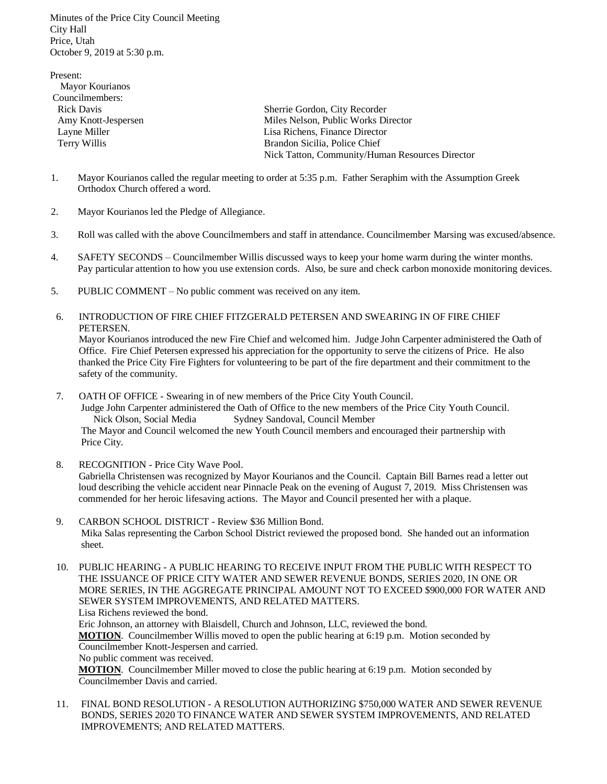Minutes of the Price City Council Meeting City Hall Price, Utah October 9, 2019 at 5:30 p.m.

Present: Mayor Kourianos Councilmembers: Rick Davis Sherrie Gordon, City Recorder Amy Knott-Jespersen Miles Nelson, Public Works Director Layne Miller Lisa Richens, Finance Director Terry Willis **Brandon Sicilia, Police Chief** Nick Tatton, Community/Human Resources Director

- 1. Mayor Kourianos called the regular meeting to order at 5:35 p.m. Father Seraphim with the Assumption Greek Orthodox Church offered a word.
- 2. Mayor Kourianos led the Pledge of Allegiance.
- 3. Roll was called with the above Councilmembers and staff in attendance. Councilmember Marsing was excused/absence.
- 4. SAFETY SECONDS Councilmember Willis discussed ways to keep your home warm during the winter months. Pay particular attention to how you use extension cords. Also, be sure and check carbon monoxide monitoring devices.
- 5. PUBLIC COMMENT No public comment was received on any item.
- 6. INTRODUCTION OF FIRE CHIEF FITZGERALD PETERSEN AND SWEARING IN OF FIRE CHIEF PETERSEN.

 Mayor Kourianos introduced the new Fire Chief and welcomed him. Judge John Carpenter administered the Oath of Office. Fire Chief Petersen expressed his appreciation for the opportunity to serve the citizens of Price. He also thanked the Price City Fire Fighters for volunteering to be part of the fire department and their commitment to the safety of the community.

7. OATH OF OFFICE - Swearing in of new members of the Price City Youth Council.

 Judge John Carpenter administered the Oath of Office to the new members of the Price City Youth Council. Nick Olson, Social Media Sydney Sandoval, Council Member The Mayor and Council welcomed the new Youth Council members and encouraged their partnership with Price City.

8. RECOGNITION - Price City Wave Pool.

 Gabriella Christensen was recognized by Mayor Kourianos and the Council. Captain Bill Barnes read a letter out loud describing the vehicle accident near Pinnacle Peak on the evening of August 7, 2019. Miss Christensen was commended for her heroic lifesaving actions. The Mayor and Council presented her with a plaque.

9. CARBON SCHOOL DISTRICT - Review \$36 Million Bond. Mika Salas representing the Carbon School District reviewed the proposed bond. She handed out an information sheet.

10. PUBLIC HEARING - A PUBLIC HEARING TO RECEIVE INPUT FROM THE PUBLIC WITH RESPECT TO THE ISSUANCE OF PRICE CITY WATER AND SEWER REVENUE BONDS, SERIES 2020, IN ONE OR MORE SERIES, IN THE AGGREGATE PRINCIPAL AMOUNT NOT TO EXCEED \$900,000 FOR WATER AND SEWER SYSTEM IMPROVEMENTS, AND RELATED MATTERS. Lisa Richens reviewed the bond.

 Eric Johnson, an attorney with Blaisdell, Church and Johnson, LLC, reviewed the bond.  **MOTION**. Councilmember Willis moved to open the public hearing at 6:19 p.m. Motion seconded by Councilmember Knott-Jespersen and carried. No public comment was received.

 **MOTION**. Councilmember Miller moved to close the public hearing at 6:19 p.m. Motion seconded by Councilmember Davis and carried.

11. FINAL BOND RESOLUTION - A RESOLUTION AUTHORIZING \$750,000 WATER AND SEWER REVENUE BONDS, SERIES 2020 TO FINANCE WATER AND SEWER SYSTEM IMPROVEMENTS, AND RELATED IMPROVEMENTS; AND RELATED MATTERS.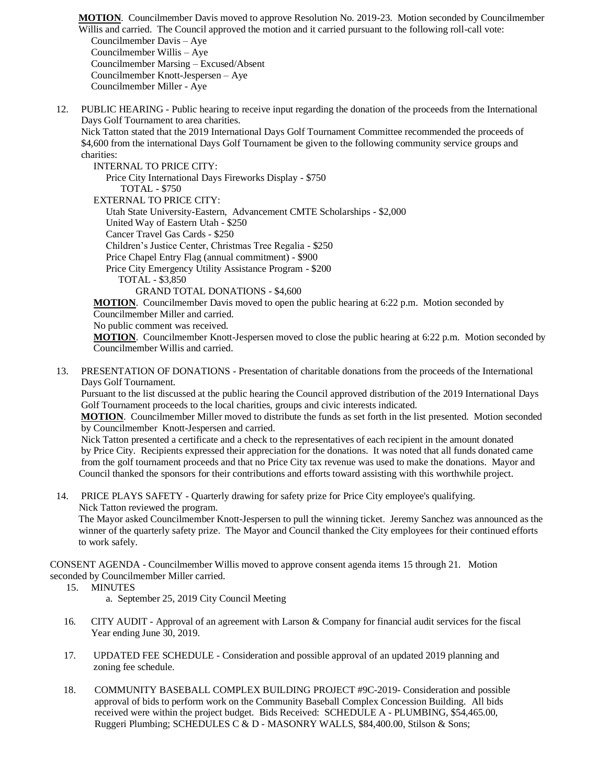**MOTION**. Councilmember Davis moved to approve Resolution No. 2019-23. Motion seconded by Councilmember Willis and carried. The Council approved the motion and it carried pursuant to the following roll-call vote: Councilmember Davis – Aye Councilmember Willis – Aye Councilmember Marsing – Excused/Absent Councilmember Knott-Jespersen – Aye Councilmember Miller - Aye

12. PUBLIC HEARING - Public hearing to receive input regarding the donation of the proceeds from the International Days Golf Tournament to area charities.

 Nick Tatton stated that the 2019 International Days Golf Tournament Committee recommended the proceeds of \$4,600 from the international Days Golf Tournament be given to the following community service groups and charities:

INTERNAL TO PRICE CITY:

 Price City International Days Fireworks Display - \$750 TOTAL - \$750 EXTERNAL TO PRICE CITY: Utah State University-Eastern, Advancement CMTE Scholarships - \$2,000 United Way of Eastern Utah - \$250 Cancer Travel Gas Cards - \$250 Children's Justice Center, Christmas Tree Regalia - \$250 Price Chapel Entry Flag (annual commitment) - \$900 Price City Emergency Utility Assistance Program - \$200 TOTAL - \$3,850 GRAND TOTAL DONATIONS - \$4,600

 **MOTION**. Councilmember Davis moved to open the public hearing at 6:22 p.m. Motion seconded by Councilmember Miller and carried.

No public comment was received.

 **MOTION**. Councilmember Knott-Jespersen moved to close the public hearing at 6:22 p.m. Motion seconded by Councilmember Willis and carried.

13. PRESENTATION OF DONATIONS - Presentation of charitable donations from the proceeds of the International Days Golf Tournament.

 Pursuant to the list discussed at the public hearing the Council approved distribution of the 2019 International Days Golf Tournament proceeds to the local charities, groups and civic interests indicated.

 **MOTION**. Councilmember Miller moved to distribute the funds as set forth in the list presented. Motion seconded by Councilmember Knott-Jespersen and carried.

 Nick Tatton presented a certificate and a check to the representatives of each recipient in the amount donated by Price City. Recipients expressed their appreciation for the donations. It was noted that all funds donated came from the golf tournament proceeds and that no Price City tax revenue was used to make the donations. Mayor and Council thanked the sponsors for their contributions and efforts toward assisting with this worthwhile project.

14. PRICE PLAYS SAFETY - Quarterly drawing for safety prize for Price City employee's qualifying. Nick Tatton reviewed the program.

 The Mayor asked Councilmember Knott-Jespersen to pull the winning ticket. Jeremy Sanchez was announced as the winner of the quarterly safety prize. The Mayor and Council thanked the City employees for their continued efforts to work safely.

CONSENT AGENDA - Councilmember Willis moved to approve consent agenda items 15 through 21. Motion seconded by Councilmember Miller carried.

- 15. MINUTES
	- a. September 25, 2019 City Council Meeting
- 16. CITY AUDIT Approval of an agreement with Larson & Company for financial audit services for the fiscal Year ending June 30, 2019.
- 17. UPDATED FEE SCHEDULE Consideration and possible approval of an updated 2019 planning and zoning fee schedule.
- 18. COMMUNITY BASEBALL COMPLEX BUILDING PROJECT #9C-2019- Consideration and possible approval of bids to perform work on the Community Baseball Complex Concession Building. All bids received were within the project budget. Bids Received: SCHEDULE A - PLUMBING, \$54,465.00, Ruggeri Plumbing; SCHEDULES C & D - MASONRY WALLS, \$84,400.00, Stilson & Sons;